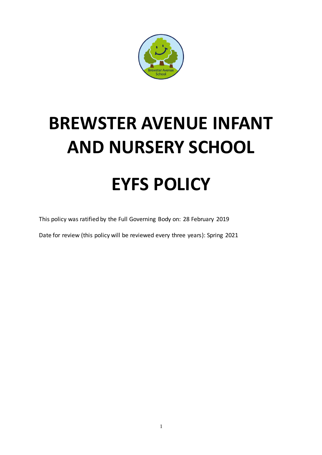

# **BREWSTER AVENUE INFANT AND NURSERY SCHOOL EYFS POLICY**

This policy was ratified by the Full Governing Body on: 28 February 2019

Date for review (this policy will be reviewed every three years): Spring 2021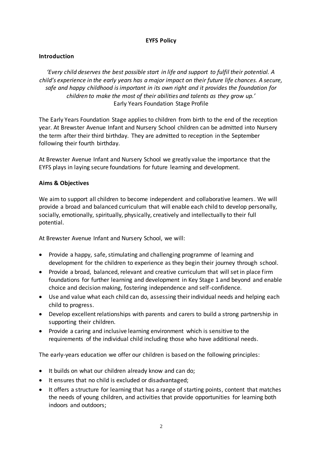## **EYFS Policy**

## **Introduction**

*'Every child deserves the best possible start in life and support to fulfil their potential. A child's experience in the early years has a major impact on their future life chances. A secure, safe and happy childhood is important in its own right and it provides the foundation for children to make the most of their abilities and talents as they grow up.'* Early Years Foundation Stage Profile

The Early Years Foundation Stage applies to children from birth to the end of the reception year. At Brewster Avenue Infant and Nursery School children can be admitted into Nursery the term after their third birthday. They are admitted to reception in the September following their fourth birthday.

At Brewster Avenue Infant and Nursery School we greatly value the importance that the EYFS plays in laying secure foundations for future learning and development.

## **Aims & Objectives**

We aim to support all children to become independent and collaborative learners. We will provide a broad and balanced curriculum that will enable each child to develop personally, socially, emotionally, spiritually, physically, creatively and intellectually to their full potential.

At Brewster Avenue Infant and Nursery School, we will:

- Provide a happy, safe, stimulating and challenging programme of learning and development for the children to experience as they begin their journey through school.
- Provide a broad, balanced, relevant and creative curriculum that will set in place firm foundations for further learning and development in Key Stage 1 and beyond and enable choice and decision making, fostering independence and self-confidence.
- Use and value what each child can do, assessing their individual needs and helping each child to progress.
- Develop excellent relationships with parents and carers to build a strong partnership in supporting their children.
- Provide a caring and inclusive learning environment which is sensitive to the requirements of the individual child including those who have additional needs.

The early-years education we offer our children is based on the following principles:

- It builds on what our children already know and can do;
- It ensures that no child is excluded or disadvantaged;
- It offers a structure for learning that has a range of starting points, content that matches the needs of young children, and activities that provide opportunities for learning both indoors and outdoors;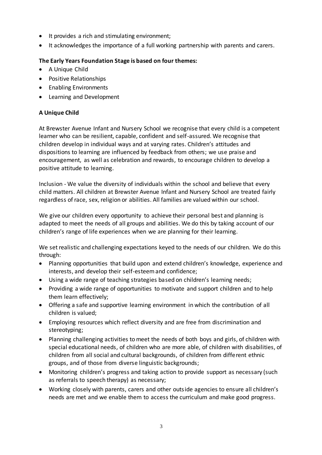- It provides a rich and stimulating environment;
- It acknowledges the importance of a full working partnership with parents and carers.

## **The Early Years Foundation Stage is based on four themes:**

- A Unique Child
- Positive Relationships
- Enabling Environments
- Learning and Development

## **A Unique Child**

At Brewster Avenue Infant and Nursery School we recognise that every child is a competent learner who can be resilient, capable, confident and self-assured. We recognise that children develop in individual ways and at varying rates. Children's attitudes and dispositions to learning are influenced by feedback from others; we use praise and encouragement, as well as celebration and rewards, to encourage children to develop a positive attitude to learning.

Inclusion - We value the diversity of individuals within the school and believe that every child matters. All children at Brewster Avenue Infant and Nursery School are treated fairly regardless of race, sex, religion or abilities. All families are valued within our school.

We give our children every opportunity to achieve their personal best and planning is adapted to meet the needs of all groups and abilities. We do this by taking account of our children's range of life experiences when we are planning for their learning.

We set realistic and challenging expectations keyed to the needs of our children. We do this through:

- Planning opportunities that build upon and extend children's knowledge, experience and interests, and develop their self-esteem and confidence;
- Using a wide range of teaching strategies based on children's learning needs;
- Providing a wide range of opportunities to motivate and support children and to help them learn effectively;
- Offering a safe and supportive learning environment in which the contribution of all children is valued;
- Employing resources which reflect diversity and are free from discrimination and stereotyping;
- Planning challenging activities to meet the needs of both boys and girls, of children with special educational needs, of children who are more able, of children with disabilities, of children from all social and cultural backgrounds, of children from different ethnic groups, and of those from diverse linguistic backgrounds;
- Monitoring children's progress and taking action to provide support as necessary (such as referrals to speech therapy) as necessary;
- Working closely with parents, carers and other outside agencies to ensure all children's needs are met and we enable them to access the curriculum and make good progress.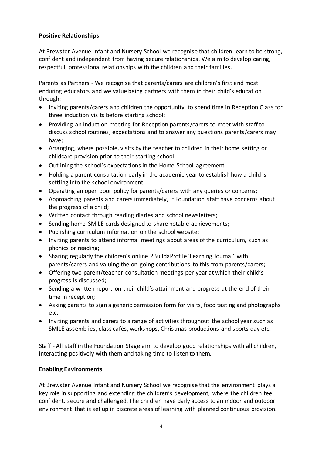## **Positive Relationships**

At Brewster Avenue Infant and Nursery School we recognise that children learn to be strong, confident and independent from having secure relationships. We aim to develop caring, respectful, professional relationships with the children and their families.

Parents as Partners - We recognise that parents/carers are children's first and most enduring educators and we value being partners with them in their child's education through:

- Inviting parents/carers and children the opportunity to spend time in Reception Class for three induction visits before starting school;
- Providing an induction meeting for Reception parents/carers to meet with staff to discuss school routines, expectations and to answer any questions parents/carers may have;
- Arranging, where possible, visits by the teacher to children in their home setting or childcare provision prior to their starting school;
- Outlining the school's expectations in the Home-School agreement;
- Holding a parent consultation early in the academic year to establish how a child is settling into the school environment;
- Operating an open door policy for parents/carers with any queries or concerns;
- Approaching parents and carers immediately, if Foundation staff have concerns about the progress of a child;
- Written contact through reading diaries and school newsletters;
- Sending home SMILE cards designed to share notable achievements;
- Publishing curriculum information on the school website;
- Inviting parents to attend informal meetings about areas of the curriculum, such as phonics or reading;
- Sharing regularly the children's online 2BuildaProfile 'Learning Journal' with parents/carers and valuing the on-going contributions to this from parents/carers;
- Offering two parent/teacher consultation meetings per year at which their child's progress is discussed;
- Sending a written report on their child's attainment and progress at the end of their time in reception;
- Asking parents to sign a generic permission form for visits, food tasting and photographs etc.
- Inviting parents and carers to a range of activities throughout the school year such as SMILE assemblies, class cafés, workshops, Christmas productions and sports day etc.

Staff - All staff in the Foundation Stage aim to develop good relationships with all children, interacting positively with them and taking time to listen to them.

## **Enabling Environments**

At Brewster Avenue Infant and Nursery School we recognise that the environment plays a key role in supporting and extending the children's development, where the children feel confident, secure and challenged. The children have daily access to an indoor and outdoor environment that is set up in discrete areas of learning with planned continuous provision.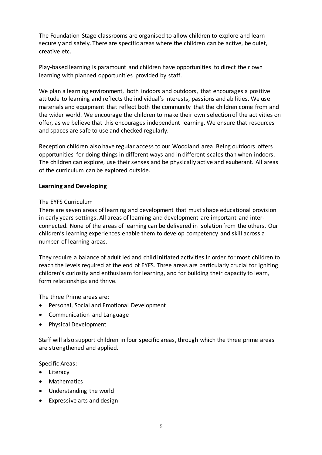The Foundation Stage classrooms are organised to allow children to explore and learn securely and safely. There are specific areas where the children can be active, be quiet, creative etc.

Play-based learning is paramount and children have opportunities to direct their own learning with planned opportunities provided by staff.

We plan a learning environment, both indoors and outdoors, that encourages a positive attitude to learning and reflects the individual's interests, passions and abilities. We use materials and equipment that reflect both the community that the children come from and the wider world. We encourage the children to make their own selection of the activities on offer, as we believe that this encourages independent learning. We ensure that resources and spaces are safe to use and checked regularly.

Reception children also have regular access to our Woodland area. Being outdoors offers opportunities for doing things in different ways and in different scales than when indoors. The children can explore, use their senses and be physically active and exuberant. All areas of the curriculum can be explored outside.

#### **Learning and Developing**

#### The EYFS Curriculum

There are seven areas of learning and development that must shape educational provision in early years settings. All areas of learning and development are important and interconnected. None of the areas of learning can be delivered in isolation from the others. Our children's learning experiences enable them to develop competency and skill across a number of learning areas.

They require a balance of adult led and child initiated activities in order for most children to reach the levels required at the end of EYFS. Three areas are particularly crucial for igniting children's curiosity and enthusiasm for learning, and for building their capacity to learn, form relationships and thrive.

The three Prime areas are:

- **•** Personal, Social and Emotional Development
- Communication and Language
- Physical Development

Staff will also support children in four specific areas, through which the three prime areas are strengthened and applied.

Specific Areas:

- Literacy
- Mathematics
- Understanding the world
- Expressive arts and design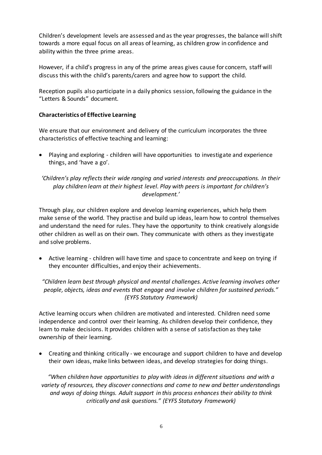Children's development levels are assessed and as the year progresses, the balance will shift towards a more equal focus on all areas of learning, as children grow in confidence and ability within the three prime areas.

However, if a child's progress in any of the prime areas gives cause for concern, staff will discuss this with the child's parents/carers and agree how to support the child.

Reception pupils also participate in a daily phonics session, following the guidance in the "Letters & Sounds" document.

## **Characteristics of Effective Learning**

We ensure that our environment and delivery of the curriculum incorporates the three characteristics of effective teaching and learning:

 Playing and exploring - children will have opportunities to investigate and experience things, and 'have a go'.

## *'Children's play reflects their wide ranging and varied interests and preoccupations. In their play children learn at their highest level. Play with peers is important for children's development.'*

Through play, our children explore and develop learning experiences, which help them make sense of the world. They practise and build up ideas, learn how to control themselves and understand the need for rules. They have the opportunity to think creatively alongside other children as well as on their own. They communicate with others as they investigate and solve problems.

 Active learning - children will have time and space to concentrate and keep on trying if they encounter difficulties, and enjoy their achievements.

*"Children learn best through physical and mental challenges. Active learning involves other people, objects, ideas and events that engage and involve children for sustained periods." (EYFS Statutory Framework)* 

Active learning occurs when children are motivated and interested. Children need some independence and control over their learning. As children develop their confidence, they learn to make decisions. It provides children with a sense of satisfaction as they take ownership of their learning.

 Creating and thinking critically - we encourage and support children to have and develop their own ideas, make links between ideas, and develop strategies for doing things.

*"When children have opportunities to play with ideas in different situations and with a variety of resources, they discover connections and come to new and better understandings and ways of doing things. Adult support in this process enhances their ability to think critically and ask questions." (EYFS Statutory Framework)*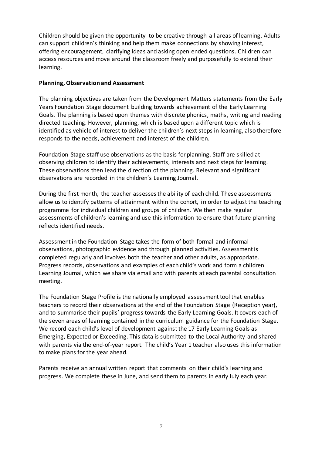Children should be given the opportunity to be creative through all areas of learning. Adults can support children's thinking and help them make connections by showing interest, offering encouragement, clarifying ideas and asking open ended questions. Children can access resources and move around the classroom freely and purposefully to extend their learning.

#### **Planning, Observation and Assessment**

The planning objectives are taken from the Development Matters statements from the Early Years Foundation Stage document building towards achievement of the Early Learning Goals. The planning is based upon themes with discrete phonics, maths, writing and reading directed teaching. However, planning, which is based upon a different topic which is identified as vehicle of interest to deliver the children's next steps in learning, also therefore responds to the needs, achievement and interest of the children.

Foundation Stage staff use observations as the basis for planning. Staff are skilled at observing children to identify their achievements, interests and next steps for learning. These observations then lead the direction of the planning. Relevant and significant observations are recorded in the children's Learning Journal.

During the first month, the teacher assesses the ability of each child. These assessments allow us to identify patterns of attainment within the cohort, in order to adjust the teaching programme for individual children and groups of children. We then make regular assessments of children's learning and use this information to ensure that future planning reflects identified needs.

Assessment in the Foundation Stage takes the form of both formal and informal observations, photographic evidence and through planned activities. Assessment is completed regularly and involves both the teacher and other adults, as appropriate. Progress records, observations and examples of each child's work and form a children Learning Journal, which we share via email and with parents at each parental consultation meeting.

The Foundation Stage Profile is the nationally employed assessment tool that enables teachers to record their observations at the end of the Foundation Stage (Reception year), and to summarise their pupils' progress towards the Early Learning Goals. It covers each of the seven areas of learning contained in the curriculum guidance for the Foundation Stage. We record each child's level of development against the 17 Early Learning Goals as Emerging, Expected or Exceeding. This data is submitted to the Local Authority and shared with parents via the end-of-year report. The child's Year 1 teacher also uses this information to make plans for the year ahead.

Parents receive an annual written report that comments on their child's learning and progress. We complete these in June, and send them to parents in early July each year.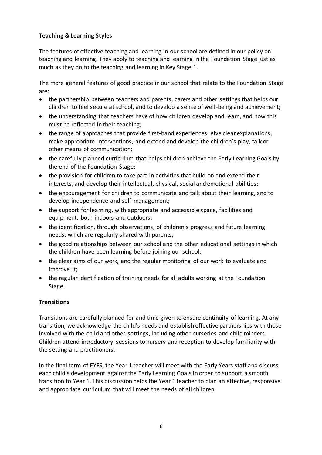## **Teaching & Learning Styles**

The features of effective teaching and learning in our school are defined in our policy on teaching and learning. They apply to teaching and learning in the Foundation Stage just as much as they do to the teaching and learning in Key Stage 1.

The more general features of good practice in our school that relate to the Foundation Stage are:

- the partnership between teachers and parents, carers and other settings that helps our children to feel secure at school, and to develop a sense of well-being and achievement;
- the understanding that teachers have of how children develop and learn, and how this must be reflected in their teaching;
- the range of approaches that provide first-hand experiences, give clear explanations, make appropriate interventions, and extend and develop the children's play, talk or other means of communication;
- the carefully planned curriculum that helps children achieve the Early Learning Goals by the end of the Foundation Stage;
- the provision for children to take part in activities that build on and extend their interests, and develop their intellectual, physical, social and emotional abilities;
- the encouragement for children to communicate and talk about their learning, and to develop independence and self-management;
- the support for learning, with appropriate and accessible space, facilities and equipment, both indoors and outdoors;
- the identification, through observations, of children's progress and future learning needs, which are regularly shared with parents;
- the good relationships between our school and the other educational settings in which the children have been learning before joining our school;
- the clear aims of our work, and the regular monitoring of our work to evaluate and improve it;
- the regular identification of training needs for all adults working at the Foundation Stage.

# **Transitions**

Transitions are carefully planned for and time given to ensure continuity of learning. At any transition, we acknowledge the child's needs and establish effective partnerships with those involved with the child and other settings, including other nurseries and child minders. Children attend introductory sessions to nursery and reception to develop familiarity with the setting and practitioners.

In the final term of EYFS, the Year 1 teacher will meet with the Early Years staff and discuss each child's development against the Early Learning Goals in order to support a smooth transition to Year 1. This discussion helps the Year 1 teacher to plan an effective, responsive and appropriate curriculum that will meet the needs of all children.